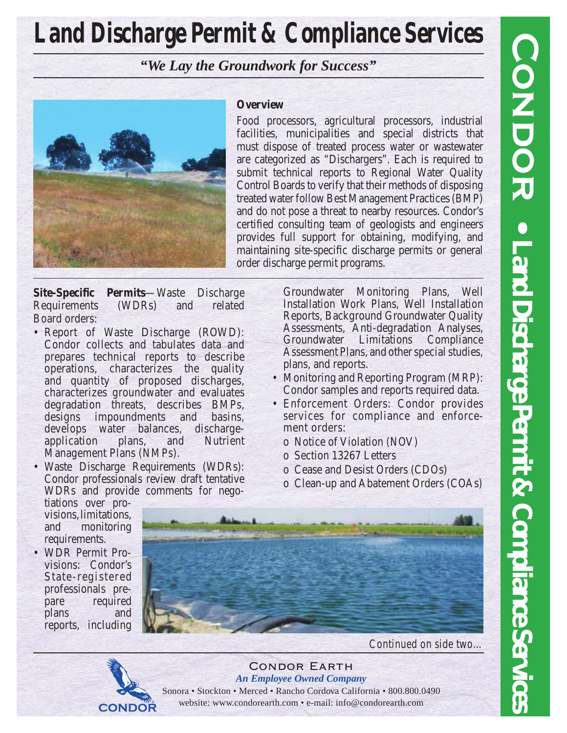# **Land Discharge Permit & Compliance Services**

*"We Lay the Groundwork for Success"*



# **Overview**

Food processors, agricultural processors, industrial facilities, municipalities and special districts that must dispose of treated process water or wastewater are categorized as "Dischargers". Each is required to submit technical reports to Regional Water Quality Control Boards to verify that their methods of disposing treated water follow Best Management Practices (BMP) and do not pose a threat to nearby resources. Condor's certified consulting team of geologists and engineers provides full support for obtaining, modifying, and maintaining site-specific discharge permits or general order discharge permit programs.

**Site-Specific Permits**—Waste Discharge Requirements (WDRs) and related Board orders:

- Report of Waste Discharge (ROWD): Condor collects and tabulates data and prepares technical reports to describe operations, characterizes the quality and quantity of proposed discharges, characterizes groundwater and evaluates degradation threats, describes BMPs, designs impoundments and basins, develops water balances, dischargeapplication plans, and Nutrient Management Plans (NMPs).
- Waste Discharge Requirements (WDRs): Condor professionals review draft tentative WDRs and provide comments for nego-

**CONDOR** 

Groundwater Monitoring Plans, Well Installation Work Plans, Well Installation Reports, Background Groundwater Quality Assessments, Anti-degradation Analyses, Groundwater Limitations Compliance Assessment Plans, and other special studies, plans, and reports.

- Monitoring and Reporting Program (MRP): Condor samples and reports required data.
- Enforcement Orders: Condor provides services for compliance and enforcement orders:
	- o Notice of Violation (NOV)
	- o Section 13267 Letters
	- o Cease and Desist Orders (CDOs)
	- o Clean-up and Abatement Orders (COAs)

tiations over provisions, limitations, and monitoring requirements.

• WDR Permit Provisions: Condor's State-registered professionals prepare required plans and reports, including



*Continued on side two…*

Condor Earth *An Employee Owned Company* Sonora • Stockton • Merced • Rancho Cordova California • 800.800.0490 website: www.condorearth.com • e-mail: info@condorearth.com